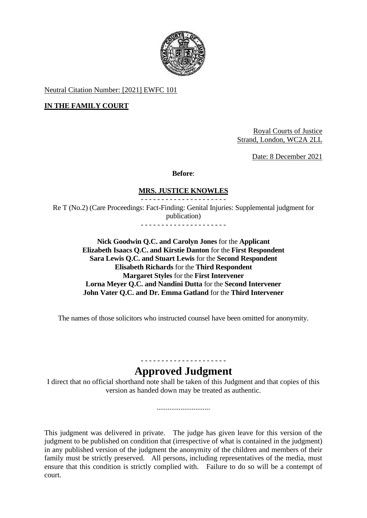

Neutral Citation Number: [2021] EWFC 101

## **IN THE FAMILY COURT**

Royal Courts of Justice Strand, London, WC2A 2LL

Date: 8 December 2021

#### **Before**:

#### **MRS. JUSTICE KNOWLES**

- - - - - - - - - - - - - - - - - - - - - Re T (No.2) (Care Proceedings: Fact-Finding: Genital Injuries: Supplemental judgment for publication)

- - - - - - - - - - - - - - - - - - - - -

 **Nick Goodwin Q.C. and Carolyn Jones** for the **Applicant Elizabeth Isaacs Q.C. and Kirstie Danton** for the **First Respondent Sara Lewis Q.C. and Stuart Lewis** for the **Second Respondent Elisabeth Richards** for the **Third Respondent Margaret Styles** for the **First Intervener Lorna Meyer Q.C. and Nandini Dutta** for the **Second Intervener John Vater Q.C. and Dr. Emma Gatland** for the **Third Intervener**

The names of those solicitors who instructed counsel have been omitted for anonymity.

# - - - - - - - - - - - - - - - - - - - - - **Approved Judgment**

I direct that no official shorthand note shall be taken of this Judgment and that copies of this version as handed down may be treated as authentic.

.............................

 This judgment was delivered in private. The judge has given leave for this version of the family must be strictly preserved. All persons, including representatives of the media, must ensure that this condition is strictly complied with. Failure to do so will be a contempt of judgment to be published on condition that (irrespective of what is contained in the judgment) in any published version of the judgment the anonymity of the children and members of their court.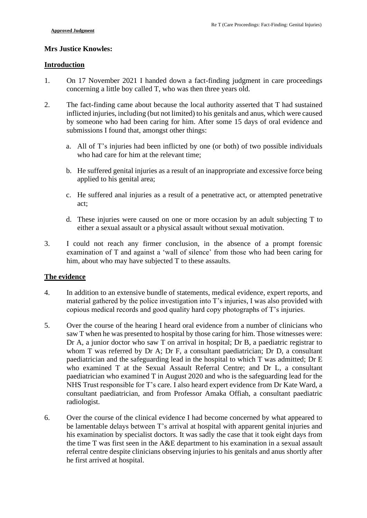#### **Mrs Justice Knowles:**

#### **Introduction**

- 1. On 17 November 2021 I handed down a fact-finding judgment in care proceedings concerning a little boy called T, who was then three years old.
- inflicted injuries, including (but not limited) to his genitals and anus, which were caused 2. The fact-finding came about because the local authority asserted that T had sustained by someone who had been caring for him. After some 15 days of oral evidence and submissions I found that, amongst other things:
	- a. All of T's injuries had been inflicted by one (or both) of two possible individuals who had care for him at the relevant time;
	- b. He suffered genital injuries as a result of an inappropriate and excessive force being applied to his genital area;
	- c. He suffered anal injuries as a result of a penetrative act, or attempted penetrative act;
	- d. These injuries were caused on one or more occasion by an adult subjecting T to either a sexual assault or a physical assault without sexual motivation.
- 3. I could not reach any firmer conclusion, in the absence of a prompt forensic examination of T and against a 'wall of silence' from those who had been caring for him, about who may have subjected T to these assaults.

## **The evidence**

- 4. In addition to an extensive bundle of statements, medical evidence, expert reports, and material gathered by the police investigation into T's injuries, I was also provided with copious medical records and good quality hard copy photographs of T's injuries.
- 5. Over the course of the hearing I heard oral evidence from a number of clinicians who saw T when he was presented to hospital by those caring for him. Those witnesses were: Dr A, a junior doctor who saw T on arrival in hospital; Dr B, a paediatric registrar to whom T was referred by Dr A; Dr F, a consultant paediatrician; Dr D, a consultant paediatrician and the safeguarding lead in the hospital to which T was admitted; Dr E who examined T at the Sexual Assault Referral Centre; and Dr L, a consultant paediatrician who examined T in August 2020 and who is the safeguarding lead for the NHS Trust responsible for T's care. I also heard expert evidence from Dr Kate Ward, a consultant paediatrician, and from Professor Amaka Offiah, a consultant paediatric radiologist.
- referral centre despite clinicians observing injuries to his genitals and anus shortly after 6. Over the course of the clinical evidence I had become concerned by what appeared to be lamentable delays between T's arrival at hospital with apparent genital injuries and his examination by specialist doctors. It was sadly the case that it took eight days from the time T was first seen in the A&E department to his examination in a sexual assault he first arrived at hospital.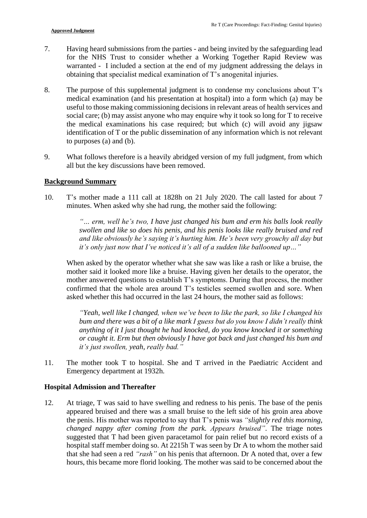- 7. Having heard submissions from the parties and being invited by the safeguarding lead for the NHS Trust to consider whether a Working Together Rapid Review was warranted - I included a section at the end of my judgment addressing the delays in obtaining that specialist medical examination of T's anogenital injuries.
- 8. The purpose of this supplemental judgment is to condense my conclusions about T's social care; (b) may assist anyone who may enquire why it took so long for T to receive identification of T or the public dissemination of any information which is not relevant medical examination (and his presentation at hospital) into a form which (a) may be useful to those making commissioning decisions in relevant areas of health services and the medical examinations his case required; but which (c) will avoid any jigsaw to purposes (a) and (b).
- 9. What follows therefore is a heavily abridged version of my full judgment, from which all but the key discussions have been removed.

#### **Background Summary**

 10. T's mother made a 111 call at 1828h on 21 July 2020. The call lasted for about 7 minutes. When asked why she had rung, the mother said the following:

> *"… erm, well he's two, I have just changed his bum and erm his balls look really swollen and like so does his penis, and his penis looks like really bruised and red and like obviously he's saying it's hurting him. He's been very grouchy all day but it's only just now that I've noticed it's all of a sudden like ballooned up…"*

 When asked by the operator whether what she saw was like a rash or like a bruise, the mother said it looked more like a bruise. Having given her details to the operator, the confirmed that the whole area around T's testicles seemed swollen and sore. When mother answered questions to establish T's symptoms. During that process, the mother asked whether this had occurred in the last 24 hours, the mother said as follows:

 *bum and there was a bit of a like mark I guess but do you know I didn't really think or caught it. Erm but then obviously I have got back and just changed his bum and "Yeah, well like I changed, when we've been to like the park, so like I changed his anything of it I just thought he had knocked, do you know knocked it or something it's just swollen, yeah, really bad."* 

11. The mother took T to hospital. She and T arrived in the Paediatric Accident and Emergency department at 1932h.

#### **Hospital Admission and Thereafter**

12. At triage, T was said to have swelling and redness to his penis. The base of the penis appeared bruised and there was a small bruise to the left side of his groin area above *changed nappy after coming from the park. Appears bruised"*. The triage notes that she had seen a red *"rash"* on his penis that afternoon. Dr A noted that, over a few hours, this became more florid looking. The mother was said to be concerned about the the penis. His mother was reported to say that T's penis was *"slightly red this morning,*  suggested that T had been given paracetamol for pain relief but no record exists of a hospital staff member doing so. At 2215h T was seen by Dr A to whom the mother said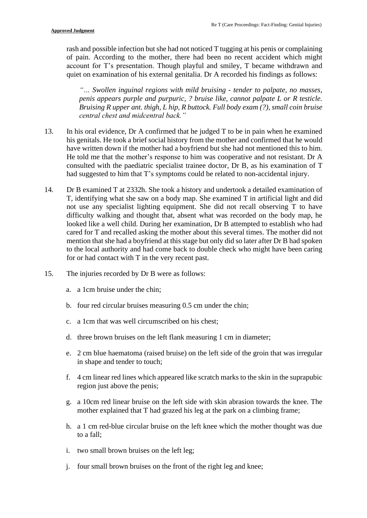rash and possible infection but she had not noticed T tugging at his penis or complaining of pain. According to the mother, there had been no recent accident which might account for T's presentation. Though playful and smiley, T became withdrawn and quiet on examination of his external genitalia. Dr A recorded his findings as follows:

 *penis appears purple and purpuric, ? bruise like, cannot palpate L or R testicle. Bruising R upper ant. thigh, L hip, R buttock. Full body exam (?), small coin bruise "… Swollen inguinal regions with mild bruising - tender to palpate, no masses, central chest and midcentral back."* 

- 13. In his oral evidence, Dr A confirmed that he judged T to be in pain when he examined his genitals. He took a brief social history from the mother and confirmed that he would He told me that the mother's response to him was cooperative and not resistant. Dr A consulted with the paediatric specialist trainee doctor, Dr B, as his examination of T have written down if the mother had a boyfriend but she had not mentioned this to him. had suggested to him that T's symptoms could be related to non-accidental injury.
- not use any specialist lighting equipment. She did not recall observing T to have difficulty walking and thought that, absent what was recorded on the body map, he looked like a well child. During her examination, Dr B attempted to establish who had mention that she had a boyfriend at this stage but only did so later after Dr B had spoken to the local authority and had come back to double check who might have been caring 14. Dr B examined T at 2332h. She took a history and undertook a detailed examination of T, identifying what she saw on a body map. She examined T in artificial light and did cared for T and recalled asking the mother about this several times. The mother did not for or had contact with T in the very recent past.
- 15. The injuries recorded by Dr B were as follows:
	- a. a 1cm bruise under the chin;
	- b. four red circular bruises measuring 0.5 cm under the chin;
	- c. a 1cm that was well circumscribed on his chest;
	- d. three brown bruises on the left flank measuring 1 cm in diameter;
	- e. 2 cm blue haematoma (raised bruise) on the left side of the groin that was irregular in shape and tender to touch;
	- f. 4 cm linear red lines which appeared like scratch marks to the skin in the suprapubic region just above the penis;
	- g. a 10cm red linear bruise on the left side with skin abrasion towards the knee. The mother explained that T had grazed his leg at the park on a climbing frame;
	- h. a 1 cm red-blue circular bruise on the left knee which the mother thought was due to a fall;
	- i. two small brown bruises on the left leg;
	- j. four small brown bruises on the front of the right leg and knee;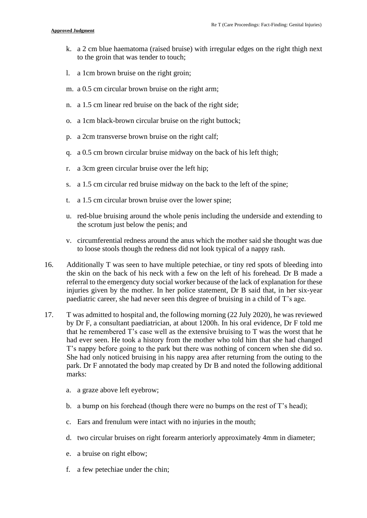- k. a 2 cm blue haematoma (raised bruise) with irregular edges on the right thigh next to the groin that was tender to touch;
- l. a 1cm brown bruise on the right groin;
- m. a 0.5 cm circular brown bruise on the right arm;
- n. a 1.5 cm linear red bruise on the back of the right side;
- o. a 1cm black-brown circular bruise on the right buttock;
- p. a 2cm transverse brown bruise on the right calf;
- q. a 0.5 cm brown circular bruise midway on the back of his left thigh;
- r. a 3cm green circular bruise over the left hip;
- s. a 1.5 cm circular red bruise midway on the back to the left of the spine;
- t. a 1.5 cm circular brown bruise over the lower spine;
- u. red-blue bruising around the whole penis including the underside and extending to the scrotum just below the penis; and
- v. circumferential redness around the anus which the mother said she thought was due to loose stools though the redness did not look typical of a nappy rash.
- the skin on the back of his neck with a few on the left of his forehead. Dr B made a referral to the emergency duty social worker because of the lack of explanation for these 16. Additionally T was seen to have multiple petechiae, or tiny red spots of bleeding into injuries given by the mother. In her police statement, Dr B said that, in her six-year paediatric career, she had never seen this degree of bruising in a child of T's age.
- by Dr F, a consultant paediatrician, at about 1200h. In his oral evidence, Dr F told me that he remembered T's case well as the extensive bruising to T was the worst that he had ever seen. He took a history from the mother who told him that she had changed T's nappy before going to the park but there was nothing of concern when she did so. 17. T was admitted to hospital and, the following morning (22 July 2020), he was reviewed She had only noticed bruising in his nappy area after returning from the outing to the park. Dr F annotated the body map created by Dr B and noted the following additional marks:
	- a. a graze above left eyebrow;
	- b. a bump on his forehead (though there were no bumps on the rest of  $T$ 's head);
	- c. Ears and frenulum were intact with no injuries in the mouth;
	- d. two circular bruises on right forearm anteriorly approximately 4mm in diameter;
	- e. a bruise on right elbow;
	- f. a few petechiae under the chin;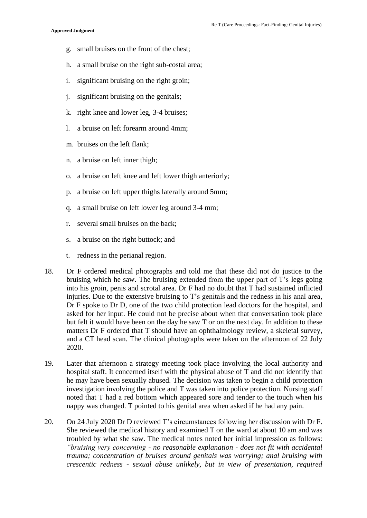- g. small bruises on the front of the chest;
- h. a small bruise on the right sub-costal area;
- i. significant bruising on the right groin;
- j. significant bruising on the genitals;
- k. right knee and lower leg, 3-4 bruises;
- l. a bruise on left forearm around 4mm;
- m. bruises on the left flank;
- n. a bruise on left inner thigh;
- o. a bruise on left knee and left lower thigh anteriorly;
- p. a bruise on left upper thighs laterally around 5mm;
- q. a small bruise on left lower leg around 3-4 mm;
- r. several small bruises on the back;
- s. a bruise on the right buttock; and
- t. redness in the perianal region.
- 18. Dr F ordered medical photographs and told me that these did not do justice to the into his groin, penis and scrotal area. Dr F had no doubt that T had sustained inflicted injuries. Due to the extensive bruising to T's genitals and the redness in his anal area, Dr F spoke to Dr D, one of the two child protection lead doctors for the hospital, and matters Dr F ordered that T should have an ophthalmology review, a skeletal survey, and a CT head scan. The clinical photographs were taken on the afternoon of 22 July bruising which he saw. The bruising extended from the upper part of T's legs going asked for her input. He could not be precise about when that conversation took place but felt it would have been on the day he saw T or on the next day. In addition to these 2020.
- 19. Later that afternoon a strategy meeting took place involving the local authority and he may have been sexually abused. The decision was taken to begin a child protection hospital staff. It concerned itself with the physical abuse of T and did not identify that investigation involving the police and T was taken into police protection. Nursing staff noted that T had a red bottom which appeared sore and tender to the touch when his nappy was changed. T pointed to his genital area when asked if he had any pain.
- 20. On 24 July 2020 Dr D reviewed T's circumstances following her discussion with Dr F. She reviewed the medical history and examined T on the ward at about 10 am and was troubled by what she saw. The medical notes noted her initial impression as follows: *"bruising very concerning - no reasonable explanation - does not fit with accidental trauma; concentration of bruises around genitals was worrying; anal bruising with crescentic redness - sexual abuse unlikely, but in view of presentation, required*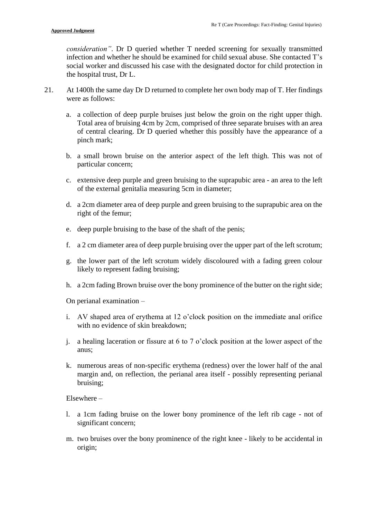infection and whether he should be examined for child sexual abuse. She contacted T's *consideration"*. Dr D queried whether T needed screening for sexually transmitted social worker and discussed his case with the designated doctor for child protection in the hospital trust, Dr L.

- 21. At 1400h the same day Dr D returned to complete her own body map of T. Her findings were as follows:
	- of central clearing. Dr D queried whether this possibly have the appearance of a a. a collection of deep purple bruises just below the groin on the right upper thigh. Total area of bruising 4cm by 2cm, comprised of three separate bruises with an area pinch mark;
	- b. a small brown bruise on the anterior aspect of the left thigh. This was not of particular concern;
	- c. extensive deep purple and green bruising to the suprapubic area an area to the left of the external genitalia measuring 5cm in diameter;
	- d. a 2cm diameter area of deep purple and green bruising to the suprapubic area on the right of the femur;
	- e. deep purple bruising to the base of the shaft of the penis;
	- f. a 2 cm diameter area of deep purple bruising over the upper part of the left scrotum;
	- g. the lower part of the left scrotum widely discoloured with a fading green colour likely to represent fading bruising;
	- h. a 2cm fading Brown bruise over the bony prominence of the butter on the right side;

On perianal examination –

- i. AV shaped area of erythema at 12 o'clock position on the immediate anal orifice with no evidence of skin breakdown;
- j. a healing laceration or fissure at 6 to 7 o'clock position at the lower aspect of the anus;
- k. numerous areas of non-specific erythema (redness) over the lower half of the anal margin and, on reflection, the perianal area itself - possibly representing perianal bruising;

Elsewhere –

- l. a 1cm fading bruise on the lower bony prominence of the left rib cage not of significant concern;
- m. two bruises over the bony prominence of the right knee likely to be accidental in origin;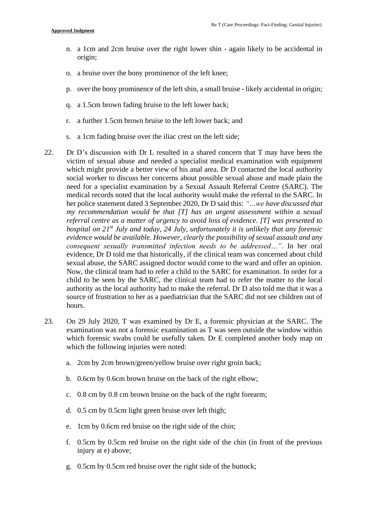- n. a 1cm and 2cm bruise over the right lower shin again likely to be accidental in origin;
- o. a bruise over the bony prominence of the left knee;
- p. over the bony prominence of the left shin, a small bruise likely accidental in origin;
- q. a 1.5cm brown fading bruise to the left lower back;
- r. a further 1.5cm brown bruise to the left lower back; and
- s. a 1cm fading bruise over the iliac crest on the left side;
- 22. Dr D's discussion with Dr L resulted in a shared concern that T may have been the which might provide a better view of his anal area. Dr D contacted the local authority social worker to discuss her concerns about possible sexual abuse and made plain the need for a specialist examination by a Sexual Assault Referral Centre (SARC). The my recommendation would be that [T] has an urgent assessment within a sexual  *hospital on 21st July and today, 24 July, unfortunately it is unlikely that any forensic evidence would be available. However, clearly the possibility of sexual assault and any*  authority as the local authority had to make the referral. Dr D also told me that it was a victim of sexual abuse and needed a specialist medical examination with equipment medical records noted that the local authority would make the referral to the SARC. In her police statement dated 3 September 2020, Dr D said this: *"…we have discussed that referral centre as a matter of urgency to avoid loss of evidence. [T] was presented to consequent sexually transmitted infection needs to be addressed…"*. In her oral evidence, Dr D told me that historically, if the clinical team was concerned about child sexual abuse, the SARC assigned doctor would come to the ward and offer an opinion. Now, the clinical team had to refer a child to the SARC for examination. In order for a child to be seen by the SARC, the clinical team had to refer the matter to the local source of frustration to her as a paediatrician that the SARC did not see children out of hours.
- 23. On 29 July 2020, T was examined by Dr E, a forensic physician at the SARC. The examination was not a forensic examination as T was seen outside the window within which forensic swabs could be usefully taken. Dr E completed another body map on which the following injuries were noted:
	- a. 2cm by 2cm brown/green/yellow bruise over right groin back;
	- b. 0.6cm by 0.6cm brown bruise on the back of the right elbow;
	- c. 0.8 cm by 0.8 cm brown bruise on the back of the right forearm;
	- d. 0.5 cm by 0.5cm light green bruise over left thigh;
	- e. 1cm by 0.6cm red bruise on the right side of the chin;
	- f. 0.5cm by 0.5cm red bruise on the right side of the chin (in front of the previous injury at e) above;
	- g. 0.5cm by 0.5cm red bruise over the right side of the buttock;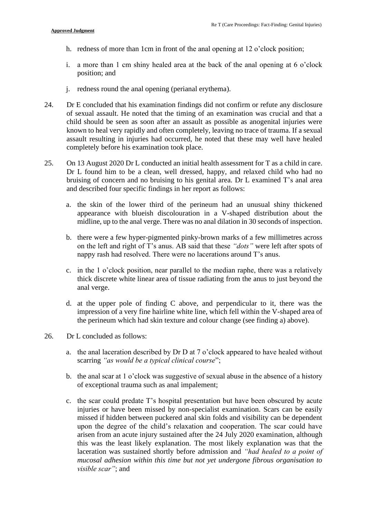- h. redness of more than 1cm in front of the anal opening at 12 o'clock position;
- i. a more than 1 cm shiny healed area at the back of the anal opening at 6 o'clock position; and
- j. redness round the anal opening (perianal erythema).
- 24. Dr E concluded that his examination findings did not confirm or refute any disclosure of sexual assault. He noted that the timing of an examination was crucial and that a child should be seen as soon after an assault as possible as anogenital injuries were assault resulting in injuries had occurred, he noted that these may well have healed known to heal very rapidly and often completely, leaving no trace of trauma. If a sexual completely before his examination took place.
- Dr L found him to be a clean, well dressed, happy, and relaxed child who had no 25. On 13 August 2020 Dr L conducted an initial health assessment for T as a child in care. bruising of concern and no bruising to his genital area. Dr L examined T's anal area and described four specific findings in her report as follows:
	- a. the skin of the lower third of the perineum had an unusual shiny thickened appearance with blueish discolouration in a V-shaped distribution about the midline, up to the anal verge. There was no anal dilation in 30 seconds of inspection.
	- b. there were a few hyper-pigmented pinky-brown marks of a few millimetres across on the left and right of T's anus. AB said that these *"dots"* were left after spots of nappy rash had resolved. There were no lacerations around T's anus.
	- c. in the 1 o'clock position, near parallel to the median raphe, there was a relatively thick discrete white linear area of tissue radiating from the anus to just beyond the anal verge.
	- d. at the upper pole of finding C above, and perpendicular to it, there was the impression of a very fine hairline white line, which fell within the V-shaped area of the perineum which had skin texture and colour change (see finding a) above).
- 26. Dr L concluded as follows:
	- a. the anal laceration described by  $Dr D$  at  $7$  o'clock appeared to have healed without scarring *"as would be a typical clinical course*";
	- b. the anal scar at 1 o'clock was suggestive of sexual abuse in the absence of a history of exceptional trauma such as anal impalement;
	- c. the scar could predate T's hospital presentation but have been obscured by acute injuries or have been missed by non-specialist examination. Scars can be easily missed if hidden between puckered anal skin folds and visibility can be dependent upon the degree of the child's relaxation and cooperation. The scar could have this was the least likely explanation. The most likely explanation was that the laceration was sustained shortly before admission and *"had healed to a point of mucosal adhesion within this time but not yet undergone fibrous organisation to*  arisen from an acute injury sustained after the 24 July 2020 examination, although *visible scar"*; and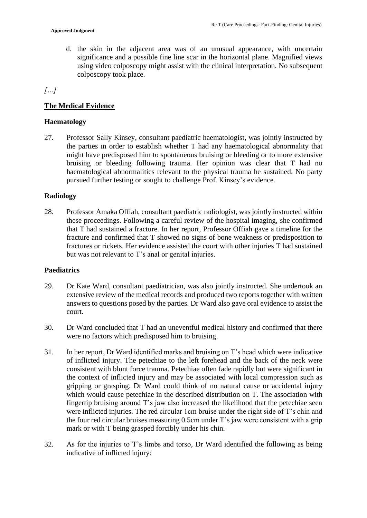significance and a possible fine line scar in the horizontal plane. Magnified views d. the skin in the adjacent area was of an unusual appearance, with uncertain using video colposcopy might assist with the clinical interpretation. No subsequent colposcopy took place.

*[…]* 

## **The Medical Evidence**

#### **Haematology**

 might have predisposed him to spontaneous bruising or bleeding or to more extensive haematological abnormalities relevant to the physical trauma he sustained. No party 27. Professor Sally Kinsey, consultant paediatric haematologist, was jointly instructed by the parties in order to establish whether T had any haematological abnormality that bruising or bleeding following trauma. Her opinion was clear that T had no pursued further testing or sought to challenge Prof. Kinsey's evidence.

#### **Radiology**

 these proceedings. Following a careful review of the hospital imaging, she confirmed that T had sustained a fracture. In her report, Professor Offiah gave a timeline for the fracture and confirmed that T showed no signs of bone weakness or predisposition to 28. Professor Amaka Offiah, consultant paediatric radiologist, was jointly instructed within fractures or rickets. Her evidence assisted the court with other injuries T had sustained but was not relevant to T's anal or genital injuries.

#### **Paediatrics**

- answers to questions posed by the parties. Dr Ward also gave oral evidence to assist the 29. Dr Kate Ward, consultant paediatrician, was also jointly instructed. She undertook an extensive review of the medical records and produced two reports together with written court.
- 30. Dr Ward concluded that T had an uneventful medical history and confirmed that there were no factors which predisposed him to bruising.
- of inflicted injury. The petechiae to the left forehead and the back of the neck were fingertip bruising around T's jaw also increased the likelihood that the petechiae seen the four red circular bruises measuring 0.5cm under T's jaw were consistent with a grip 31. In her report, Dr Ward identified marks and bruising on T's head which were indicative consistent with blunt force trauma. Petechiae often fade rapidly but were significant in the context of inflicted injury and may be associated with local compression such as gripping or grasping. Dr Ward could think of no natural cause or accidental injury which would cause petechiae in the described distribution on T. The association with were inflicted injuries. The red circular 1cm bruise under the right side of T's chin and mark or with T being grasped forcibly under his chin.
- 32. As for the injuries to T's limbs and torso, Dr Ward identified the following as being indicative of inflicted injury: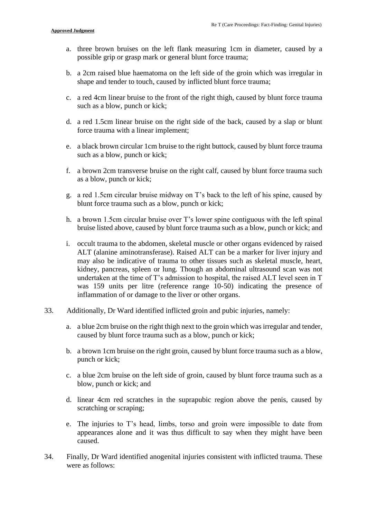- a. three brown bruises on the left flank measuring 1cm in diameter, caused by a possible grip or grasp mark or general blunt force trauma;
- b. a 2cm raised blue haematoma on the left side of the groin which was irregular in shape and tender to touch, caused by inflicted blunt force trauma;
- c. a red 4cm linear bruise to the front of the right thigh, caused by blunt force trauma such as a blow, punch or kick;
- d. a red 1.5cm linear bruise on the right side of the back, caused by a slap or blunt force trauma with a linear implement;
- e. a black brown circular 1cm bruise to the right buttock, caused by blunt force trauma such as a blow, punch or kick;
- f. a brown 2cm transverse bruise on the right calf, caused by blunt force trauma such as a blow, punch or kick;
- g. a red 1.5cm circular bruise midway on T's back to the left of his spine, caused by blunt force trauma such as a blow, punch or kick;
- h. a brown 1.5cm circular bruise over T's lower spine contiguous with the left spinal bruise listed above, caused by blunt force trauma such as a blow, punch or kick; and
- i. occult trauma to the abdomen, skeletal muscle or other organs evidenced by raised ALT (alanine aminotransferase). Raised ALT can be a marker for liver injury and may also be indicative of trauma to other tissues such as skeletal muscle, heart, was 159 units per litre (reference range 10-50) indicating the presence of kidney, pancreas, spleen or lung. Though an abdominal ultrasound scan was not undertaken at the time of T's admission to hospital, the raised ALT level seen in T inflammation of or damage to the liver or other organs.
- 33. Additionally, Dr Ward identified inflicted groin and pubic injuries, namely:
	- a. a blue 2cm bruise on the right thigh next to the groin which was irregular and tender, caused by blunt force trauma such as a blow, punch or kick;
	- b. a brown 1cm bruise on the right groin, caused by blunt force trauma such as a blow, punch or kick;
	- c. a blue 2cm bruise on the left side of groin, caused by blunt force trauma such as a blow, punch or kick; and
	- d. linear 4cm red scratches in the suprapubic region above the penis, caused by scratching or scraping;
	- appearances alone and it was thus difficult to say when they might have been e. The injuries to T's head, limbs, torso and groin were impossible to date from caused.
- 34. Finally, Dr Ward identified anogenital injuries consistent with inflicted trauma. These were as follows: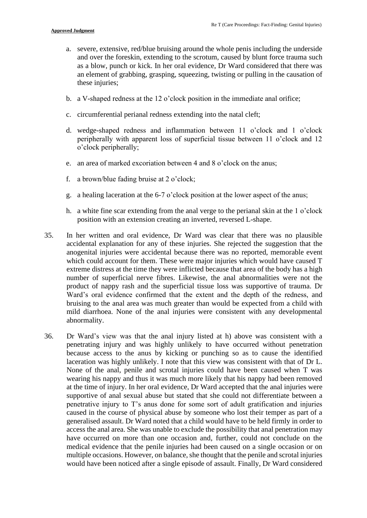- a. severe, extensive, red/blue bruising around the whole penis including the underside and over the foreskin, extending to the scrotum, caused by blunt force trauma such as a blow, punch or kick. In her oral evidence, Dr Ward considered that there was an element of grabbing, grasping, squeezing, twisting or pulling in the causation of these injuries;
- b. a V-shaped redness at the 12 o'clock position in the immediate anal orifice;
- c. circumferential perianal redness extending into the natal cleft;
- d. wedge-shaped redness and inflammation between 11 o'clock and 1 o'clock peripherally with apparent loss of superficial tissue between 11 o'clock and 12 o'clock peripherally;
- e. an area of marked excoriation between 4 and 8 o'clock on the anus;
- f. a brown/blue fading bruise at  $2$  o'clock;
- g. a healing laceration at the 6-7 o'clock position at the lower aspect of the anus;
- h. a white fine scar extending from the anal verge to the perianal skin at the  $1 \circ$  clock position with an extension creating an inverted, reversed L-shape.
- anogenital injuries were accidental because there was no reported, memorable event which could account for them. These were major injuries which would have caused T extreme distress at the time they were inflicted because that area of the body has a high number of superficial nerve fibres. Likewise, the anal abnormalities were not the bruising to the anal area was much greater than would be expected from a child with mild diarrhoea. None of the anal injuries were consistent with any developmental 35. In her written and oral evidence, Dr Ward was clear that there was no plausible accidental explanation for any of these injuries. She rejected the suggestion that the product of nappy rash and the superficial tissue loss was supportive of trauma. Dr Ward's oral evidence confirmed that the extent and the depth of the redness, and abnormality.
- 36. Dr Ward's view was that the anal injury listed at h) above was consistent with a penetrating injury and was highly unlikely to have occurred without penetration because access to the anus by kicking or punching so as to cause the identified supportive of anal sexual abuse but stated that she could not differentiate between a penetrative injury to T's anus done for some sort of adult gratification and injuries caused in the course of physical abuse by someone who lost their temper as part of a generalised assault. Dr Ward noted that a child would have to be held firmly in order to have occurred on more than one occasion and, further, could not conclude on the medical evidence that the penile injuries had been caused on a single occasion or on multiple occasions. However, on balance, she thought that the penile and scrotal injuries laceration was highly unlikely. I note that this view was consistent with that of Dr L. None of the anal, penile and scrotal injuries could have been caused when T was wearing his nappy and thus it was much more likely that his nappy had been removed at the time of injury. In her oral evidence, Dr Ward accepted that the anal injuries were access the anal area. She was unable to exclude the possibility that anal penetration may would have been noticed after a single episode of assault. Finally, Dr Ward considered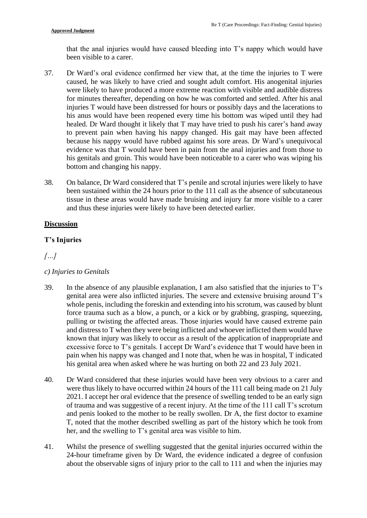that the anal injuries would have caused bleeding into T's nappy which would have been visible to a carer.

- 37. Dr Ward's oral evidence confirmed her view that, at the time the injuries to T were caused, he was likely to have cried and sought adult comfort. His anogenital injuries injuries T would have been distressed for hours or possibly days and the lacerations to his anus would have been reopened every time his bottom was wiped until they had healed. Dr Ward thought it likely that T may have tried to push his carer's hand away to prevent pain when having his nappy changed. His gait may have been affected because his nappy would have rubbed against his sore areas. Dr Ward's unequivocal his genitals and groin. This would have been noticeable to a carer who was wiping his were likely to have produced a more extreme reaction with visible and audible distress for minutes thereafter, depending on how he was comforted and settled. After his anal evidence was that T would have been in pain from the anal injuries and from those to bottom and changing his nappy.
- tissue in these areas would have made bruising and injury far more visible to a carer 38. On balance, Dr Ward considered that T's penile and scrotal injuries were likely to have been sustained within the 24 hours prior to the 111 call as the absence of subcutaneous and thus these injuries were likely to have been detected earlier.

#### **Discussion**

#### **T's Injuries**

#### *[…]*

#### *c) Injuries to Genitals*

- 39. In the absence of any plausible explanation, I am also satisfied that the injuries to T's genital area were also inflicted injuries. The severe and extensive bruising around T's force trauma such as a blow, a punch, or a kick or by grabbing, grasping, squeezing, known that injury was likely to occur as a result of the application of inappropriate and excessive force to T's genitals. I accept Dr Ward's evidence that T would have been in whole penis, including the foreskin and extending into his scrotum, was caused by blunt pulling or twisting the affected areas. Those injuries would have caused extreme pain and distress to T when they were being inflicted and whoever inflicted them would have pain when his nappy was changed and I note that, when he was in hospital, T indicated his genital area when asked where he was hurting on both 22 and 23 July 2021.
- 40. Dr Ward considered that these injuries would have been very obvious to a carer and were thus likely to have occurred within 24 hours of the 111 call being made on 21 July 2021. I accept her oral evidence that the presence of swelling tended to be an early sign of trauma and was suggestive of a recent injury. At the time of the 111 call T's scrotum and penis looked to the mother to be really swollen. Dr A, the first doctor to examine T, noted that the mother described swelling as part of the history which he took from her, and the swelling to T's genital area was visible to him.
- 24-hour timeframe given by Dr Ward, the evidence indicated a degree of confusion about the observable signs of injury prior to the call to 111 and when the injuries may 41. Whilst the presence of swelling suggested that the genital injuries occurred within the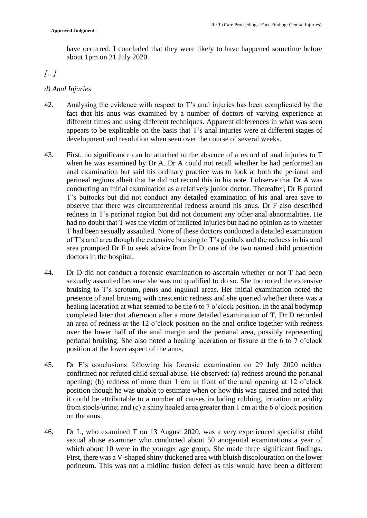have occurred. I concluded that they were likely to have happened sometime before about 1pm on 21 July 2020.

# *[…]*

#### *d) Anal Injuries*

- fact that his anus was examined by a number of doctors of varying experience at 42. Analysing the evidence with respect to T's anal injuries has been complicated by the different times and using different techniques. Apparent differences in what was seen appears to be explicable on the basis that T's anal injuries were at different stages of development and resolution when seen over the course of several weeks.
- 43. First, no significance can be attached to the absence of a record of anal injuries to T when he was examined by Dr A. Dr A could not recall whether he had performed an perineal regions albeit that he did not record this in his note. I observe that Dr A was observe that there was circumferential redness around his anus. Dr F also described had no doubt that T was the victim of inflicted injuries but had no opinion as to whether T had been sexually assaulted. None of these doctors conducted a detailed examination of T's anal area though the extensive bruising to T's genitals and the redness in his anal anal examination but said his ordinary practice was to look at both the perianal and conducting an initial examination as a relatively junior doctor. Thereafter, Dr B parted T's buttocks but did not conduct any detailed examination of his anal area save to redness in T's perianal region but did not document any other anal abnormalities. He area prompted Dr F to seek advice from Dr D, one of the two named child protection doctors in the hospital.
- sexually assaulted because she was not qualified to do so. She too noted the extensive presence of anal bruising with crescentic redness and she queried whether there was a healing laceration at what seemed to be the 6 to 7 o'clock position. In the anal bodymap an area of redness at the 12 o'clock position on the anal orifice together with redness perianal bruising. She also noted a healing laceration or fissure at the 6 to 7 o'clock 44. Dr D did not conduct a forensic examination to ascertain whether or not T had been bruising to T's scrotum, penis and inguinal areas. Her initial examination noted the completed later that afternoon after a more detailed examination of T, Dr D recorded over the lower half of the anal margin and the perianal area, possibly representing position at the lower aspect of the anus.
- opening; (b) redness of more than 1 cm in front of the anal opening at 12 o'clock it could be attributable to a number of causes including rubbing, irritation or acidity from stools/urine; and (c) a shiny healed area greater than 1 cm at the 6 o'clock position 45. Dr E's conclusions following his forensic examination on 29 July 2020 neither confirmed nor refuted child sexual abuse. He observed: (a) redness around the perianal position though he was unable to estimate when or how this was caused and noted that on the anus.
- 46. Dr L, who examined T on 13 August 2020, was a very experienced specialist child sexual abuse examiner who conducted about 50 anogenital examinations a year of which about 10 were in the younger age group. She made three significant findings. First, there was a V-shaped shiny thickened area with bluish discolouration on the lower perineum. This was not a midline fusion defect as this would have been a different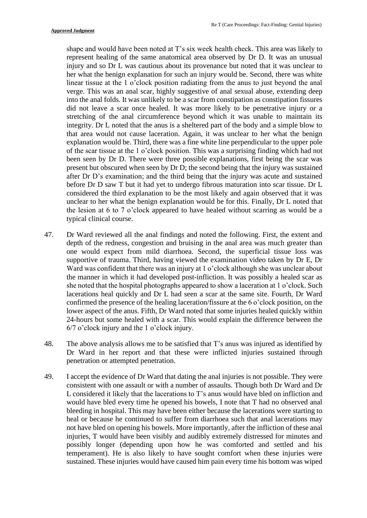injury and so Dr L was cautious about its provenance but noted that it was unclear to her what the benign explanation for such an injury would be. Second, there was white into the anal folds. It was unlikely to be a scar from constipation as constipation fissures did not leave a scar once healed. It was more likely to be penetrative injury or a integrity. Dr L noted that the anus is a sheltered part of the body and a simple blow to explanation would be. Third, there was a fine white line perpendicular to the upper pole been seen by Dr D. There were three possible explanations, first being the scar was considered the third explanation to be the most likely and again observed that it was unclear to her what the benign explanation would be for this. Finally, Dr L noted that the lesion at 6 to 7 o'clock appeared to have healed without scarring as would be a shape and would have been noted at T's six week health check. This area was likely to represent healing of the same anatomical area observed by Dr D. It was an unusual linear tissue at the 1 o'clock position radiating from the anus to just beyond the anal verge. This was an anal scar, highly suggestive of anal sexual abuse, extending deep stretching of the anal circumference beyond which it was unable to maintain its that area would not cause laceration. Again, it was unclear to her what the benign of the scar tissue at the 1 o'clock position. This was a surprising finding which had not present but obscured when seen by Dr D; the second being that the injury was sustained after Dr D's examination; and the third being that the injury was acute and sustained before Dr D saw T but it had yet to undergo fibrous maturation into scar tissue. Dr L typical clinical course.

- one would expect from mild diarrhoea. Second, the superficial tissue loss was Ward was confident that there was an injury at 1 o'clock although she was unclear about she noted that the hospital photographs appeared to show a laceration at 1 o'clock. Such confirmed the presence of the healing laceration/fissure at the 6 o'clock position, on the lower aspect of the anus. Fifth, Dr Ward noted that some injuries healed quickly within 47. Dr Ward reviewed all the anal findings and noted the following. First, the extent and depth of the redness, congestion and bruising in the anal area was much greater than supportive of trauma. Third, having viewed the examination video taken by Dr E, Dr the manner in which it had developed post-infliction. It was possibly a healed scar as lacerations heal quickly and Dr L had seen a scar at the same site. Fourth, Dr Ward 24-hours but some healed with a scar. This would explain the difference between the 6/7 o'clock injury and the 1 o'clock injury.
- Dr Ward in her report and that these were inflicted injuries sustained through 48. The above analysis allows me to be satisfied that T's anus was injured as identified by penetration or attempted penetration.
- would have bled every time he opened his bowels, I note that T had no observed anal heal or because he continued to suffer from diarrhoea such that anal lacerations may injuries, T would have been visibly and audibly extremely distressed for minutes and temperament). He is also likely to have sought comfort when these injuries were sustained. These injuries would have caused him pain every time his bottom was wiped 49. I accept the evidence of Dr Ward that dating the anal injuries is not possible. They were consistent with one assault or with a number of assaults. Though both Dr Ward and Dr L considered it likely that the lacerations to T's anus would have bled on infliction and bleeding in hospital. This may have been either because the lacerations were starting to not have bled on opening his bowels. More importantly, after the infliction of these anal possibly longer (depending upon how he was comforted and settled and his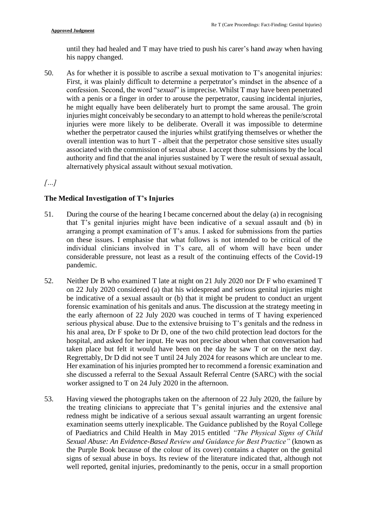until they had healed and T may have tried to push his carer's hand away when having his nappy changed.

 50. As for whether it is possible to ascribe a sexual motivation to T's anogenital injuries: First, it was plainly difficult to determine a perpetrator's mindset in the absence of a confession. Second, the word "*sexual*" is imprecise. Whilst T may have been penetrated with a penis or a finger in order to arouse the perpetrator, causing incidental injuries, injuries were more likely to be deliberate. Overall it was impossible to determine whether the perpetrator caused the injuries whilst gratifying themselves or whether the authority and find that the anal injuries sustained by T were the result of sexual assault, he might equally have been deliberately hurt to prompt the same arousal. The groin injuries might conceivably be secondary to an attempt to hold whereas the penile/scrotal overall intention was to hurt T - albeit that the perpetrator chose sensitive sites usually associated with the commission of sexual abuse. I accept those submissions by the local alternatively physical assault without sexual motivation.

# *[…]*

## **The Medical Investigation of T's Injuries**

- 51. During the course of the hearing I became concerned about the delay (a) in recognising that T's genital injuries might have been indicative of a sexual assault and (b) in arranging a prompt examination of T's anus. I asked for submissions from the parties individual clinicians involved in T's care, all of whom will have been under considerable pressure, not least as a result of the continuing effects of the Covid-19 on these issues. I emphasise that what follows is not intended to be critical of the pandemic.
- 52. Neither Dr B who examined T late at night on 21 July 2020 nor Dr F who examined T on 22 July 2020 considered (a) that his widespread and serious genital injuries might be indicative of a sexual assault or (b) that it might be prudent to conduct an urgent his anal area, Dr F spoke to Dr D, one of the two child protection lead doctors for the taken place but felt it would have been on the day he saw T or on the next day. Regrettably, Dr D did not see T until 24 July 2024 for reasons which are unclear to me. she discussed a referral to the Sexual Assault Referral Centre (SARC) with the social forensic examination of his genitals and anus. The discussion at the strategy meeting in the early afternoon of 22 July 2020 was couched in terms of T having experienced serious physical abuse. Due to the extensive bruising to T's genitals and the redness in hospital, and asked for her input. He was not precise about when that conversation had Her examination of his injuries prompted her to recommend a forensic examination and worker assigned to T on 24 July 2020 in the afternoon.
- 53. Having viewed the photographs taken on the afternoon of 22 July 2020, the failure by the treating clinicians to appreciate that T's genital injuries and the extensive anal redness might be indicative of a serious sexual assault warranting an urgent forensic the Purple Book because of the colour of its cover) contains a chapter on the genital signs of sexual abuse in boys. Its review of the literature indicated that, although not examination seems utterly inexplicable. The Guidance published by the Royal College of Paediatrics and Child Health in May 2015 entitled *"The Physical Signs of Child Sexual Abuse: An Evidence-Based Review and Guidance for Best Practice"* (known as well reported, genital injuries, predominantly to the penis, occur in a small proportion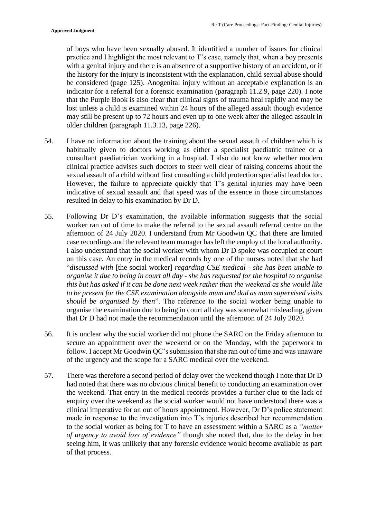of boys who have been sexually abused. It identified a number of issues for clinical practice and I highlight the most relevant to T's case, namely that, when a boy presents with a genital injury and there is an absence of a supportive history of an accident, or if indicator for a referral for a forensic examination (paragraph 11.2.9, page 220). I note lost unless a child is examined within 24 hours of the alleged assault though evidence the history for the injury is inconsistent with the explanation, child sexual abuse should be considered (page 125). Anogenital injury without an acceptable explanation is an that the Purple Book is also clear that clinical signs of trauma heal rapidly and may be may still be present up to 72 hours and even up to one week after the alleged assault in older children (paragraph 11.3.13, page 226).

- 54. I have no information about the training about the sexual assault of children which is habitually given to doctors working as either a specialist paediatric trainee or a sexual assault of a child without first consulting a child protection specialist lead doctor. However, the failure to appreciate quickly that T's genital injuries may have been consultant paediatrician working in a hospital. I also do not know whether modern clinical practice advises such doctors to steer well clear of raising concerns about the indicative of sexual assault and that speed was of the essence in those circumstances resulted in delay to his examination by Dr D.
- 55. Following Dr D's examination, the available information suggests that the social case recordings and the relevant team manager has left the employ of the local authority. I also understand that the social worker with whom Dr D spoke was occupied at court on this case. An entry in the medical records by one of the nurses noted that she had  *organise it due to being in court all day - she has requested for the hospital to organise this but has asked if it can be done next week rather than the weekend as she would like to be present for the CSE examination alongside mum and dad as mum supervised visits should be organised by then*". The reference to the social worker being unable to worker ran out of time to make the referral to the sexual assault referral centre on the afternoon of 24 July 2020. I understand from Mr Goodwin QC that there are limited "*discussed with* [the social worker] *regarding CSE medical - she has been unable to*  organise the examination due to being in court all day was somewhat misleading, given that Dr D had not made the recommendation until the afternoon of 24 July 2020.
- follow. I accept Mr Goodwin QC's submission that she ran out of time and was unaware 56. It is unclear why the social worker did not phone the SARC on the Friday afternoon to secure an appointment over the weekend or on the Monday, with the paperwork to of the urgency and the scope for a SARC medical over the weekend.
- 57. There was therefore a second period of delay over the weekend though I note that Dr D the weekend. That entry in the medical records provides a further clue to the lack of enquiry over the weekend as the social worker would not have understood there was a to the social worker as being for T to have an assessment within a SARC as a *"matter of urgency to avoid loss of evidence"* though she noted that, due to the delay in her had noted that there was no obvious clinical benefit to conducting an examination over clinical imperative for an out of hours appointment. However, Dr D's police statement made in response to the investigation into T's injuries described her recommendation seeing him, it was unlikely that any forensic evidence would become available as part of that process.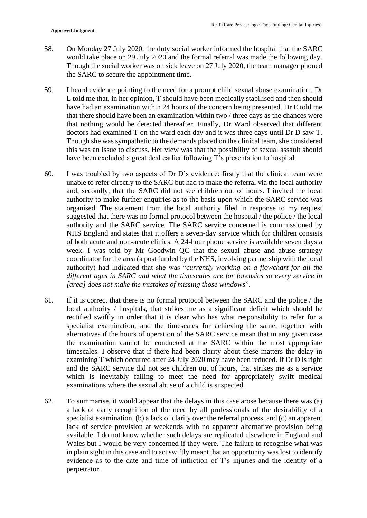- would take place on 29 July 2020 and the formal referral was made the following day. Though the social worker was on sick leave on 27 July 2020, the team manager phoned 58. On Monday 27 July 2020, the duty social worker informed the hospital that the SARC the SARC to secure the appointment time.
- L told me that, in her opinion, T should have been medically stabilised and then should have had an examination within 24 hours of the concern being presented. Dr E told me that there should have been an examination within two / three days as the chances were doctors had examined T on the ward each day and it was three days until Dr D saw T. Though she was sympathetic to the demands placed on the clinical team, she considered 59. I heard evidence pointing to the need for a prompt child sexual abuse examination. Dr that nothing would be detected thereafter. Finally, Dr Ward observed that different this was an issue to discuss. Her view was that the possibility of sexual assault should have been excluded a great deal earlier following T's presentation to hospital.
- 60. I was troubled by two aspects of Dr D's evidence: firstly that the clinical team were and, secondly, that the SARC did not see children out of hours. I invited the local authority to make further enquiries as to the basis upon which the SARC service was suggested that there was no formal protocol between the hospital / the police / the local authority and the SARC service. The SARC service concerned is commissioned by NHS England and states that it offers a seven-day service which for children consists of both acute and non-acute clinics. A 24-hour phone service is available seven days a week. I was told by Mr Goodwin QC that the sexual abuse and abuse strategy coordinator for the area (a post funded by the NHS, involving partnership with the local  authority) had indicated that she was "*currently working on a flowchart for all the*  different ages in SARC and what the timescales are for forensics so every service in unable to refer directly to the SARC but had to make the referral via the local authority organised. The statement from the local authority filed in response to my request *[area] does not make the mistakes of missing those windows*".
- 61. If it is correct that there is no formal protocol between the SARC and the police / the rectified swiftly in order that it is clear who has what responsibility to refer for a alternatives if the hours of operation of the SARC service mean that in any given case the examination cannot be conducted at the SARC within the most appropriate timescales. I observe that if there had been clarity about these matters the delay in examining T which occurred after 24 July 2020 may have been reduced. If Dr D is right and the SARC service did not see children out of hours, that strikes me as a service which is inevitably failing to meet the need for appropriately swift medical local authority / hospitals, that strikes me as a significant deficit which should be specialist examination, and the timescales for achieving the same, together with examinations where the sexual abuse of a child is suspected.
- 62. To summarise, it would appear that the delays in this case arose because there was (a) a lack of early recognition of the need by all professionals of the desirability of a specialist examination, (b) a lack of clarity over the referral process, and (c) an apparent Wales but I would be very concerned if they were. The failure to recognise what was lack of service provision at weekends with no apparent alternative provision being available. I do not know whether such delays are replicated elsewhere in England and in plain sight in this case and to act swiftly meant that an opportunity was lost to identify evidence as to the date and time of infliction of T's injuries and the identity of a perpetrator.